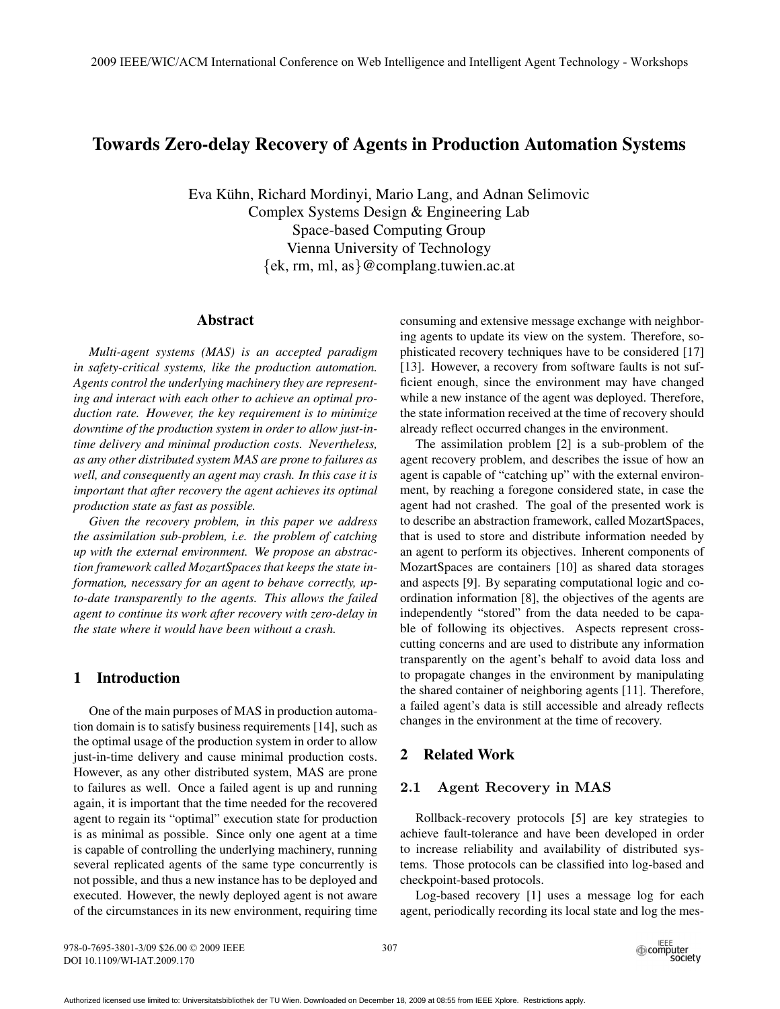# Towards Zero-delay Recovery of Agents in Production Automation Systems

Eva Kuhn, Richard Mordinyi, Mario Lang, and Adnan Selimovic ¨ Complex Systems Design & Engineering Lab Space-based Computing Group Vienna University of Technology {ek, rm, ml, as}@complang.tuwien.ac.at

### Abstract

*Multi-agent systems (MAS) is an accepted paradigm in safety-critical systems, like the production automation. Agents control the underlying machinery they are representing and interact with each other to achieve an optimal production rate. However, the key requirement is to minimize downtime of the production system in order to allow just-intime delivery and minimal production costs. Nevertheless, as any other distributed system MAS are prone to failures as well, and consequently an agent may crash. In this case it is important that after recovery the agent achieves its optimal production state as fast as possible.*

*Given the recovery problem, in this paper we address the assimilation sub-problem, i.e. the problem of catching up with the external environment. We propose an abstraction framework called MozartSpaces that keeps the state information, necessary for an agent to behave correctly, upto-date transparently to the agents. This allows the failed agent to continue its work after recovery with zero-delay in the state where it would have been without a crash.*

### 1 Introduction

One of the main purposes of MAS in production automation domain is to satisfy business requirements [14], such as the optimal usage of the production system in order to allow just-in-time delivery and cause minimal production costs. However, as any other distributed system, MAS are prone to failures as well. Once a failed agent is up and running again, it is important that the time needed for the recovered agent to regain its "optimal" execution state for production is as minimal as possible. Since only one agent at a time is capable of controlling the underlying machinery, running several replicated agents of the same type concurrently is not possible, and thus a new instance has to be deployed and executed. However, the newly deployed agent is not aware of the circumstances in its new environment, requiring time consuming and extensive message exchange with neighboring agents to update its view on the system. Therefore, sophisticated recovery techniques have to be considered [17] [13]. However, a recovery from software faults is not sufficient enough, since the environment may have changed while a new instance of the agent was deployed. Therefore, the state information received at the time of recovery should already reflect occurred changes in the environment.

The assimilation problem [2] is a sub-problem of the agent recovery problem, and describes the issue of how an agent is capable of "catching up" with the external environment, by reaching a foregone considered state, in case the agent had not crashed. The goal of the presented work is to describe an abstraction framework, called MozartSpaces, that is used to store and distribute information needed by an agent to perform its objectives. Inherent components of MozartSpaces are containers [10] as shared data storages and aspects [9]. By separating computational logic and coordination information [8], the objectives of the agents are independently "stored" from the data needed to be capable of following its objectives. Aspects represent crosscutting concerns and are used to distribute any information transparently on the agent's behalf to avoid data loss and to propagate changes in the environment by manipulating the shared container of neighboring agents [11]. Therefore, a failed agent's data is still accessible and already reflects changes in the environment at the time of recovery.

### 2 Related Work

#### 2.1 Agent Recovery in MAS

Rollback-recovery protocols [5] are key strategies to achieve fault-tolerance and have been developed in order to increase reliability and availability of distributed systems. Those protocols can be classified into log-based and checkpoint-based protocols.

Log-based recovery [1] uses a message log for each agent, periodically recording its local state and log the mes-

978-0-7695-3801-3/09 \$26.00 © 2009 IEEE DOI 10.1109/WI-IAT.2009.170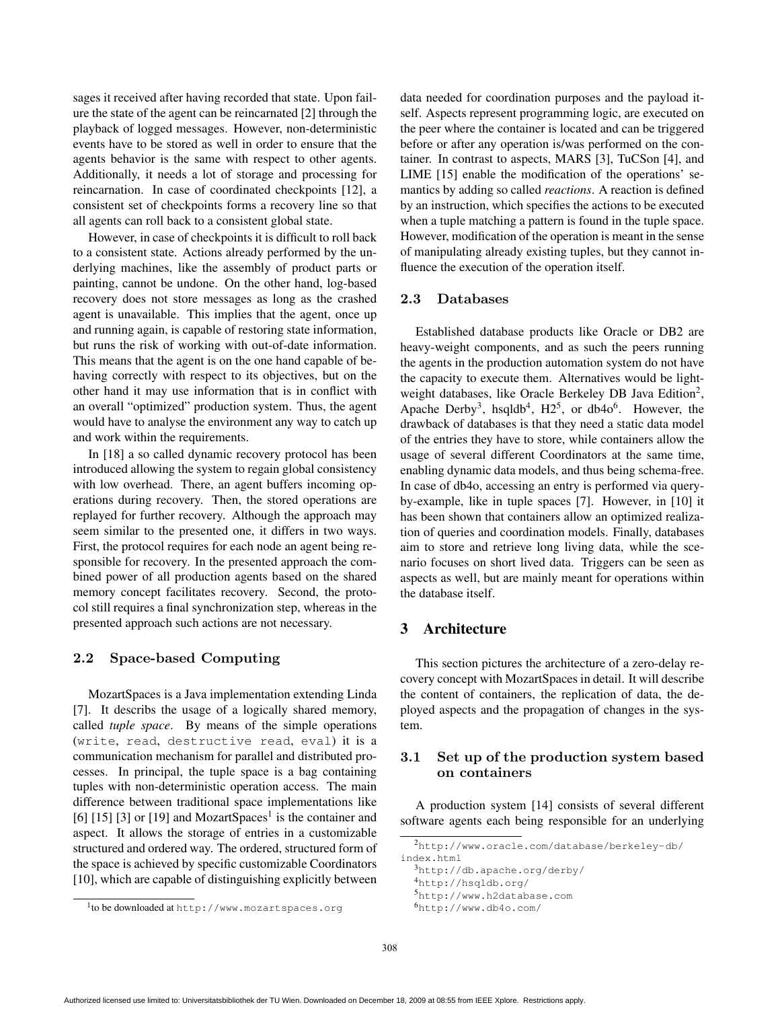sages it received after having recorded that state. Upon failure the state of the agent can be reincarnated [2] through the playback of logged messages. However, non-deterministic events have to be stored as well in order to ensure that the agents behavior is the same with respect to other agents. Additionally, it needs a lot of storage and processing for reincarnation. In case of coordinated checkpoints [12], a consistent set of checkpoints forms a recovery line so that all agents can roll back to a consistent global state.

However, in case of checkpoints it is difficult to roll back to a consistent state. Actions already performed by the underlying machines, like the assembly of product parts or painting, cannot be undone. On the other hand, log-based recovery does not store messages as long as the crashed agent is unavailable. This implies that the agent, once up and running again, is capable of restoring state information, but runs the risk of working with out-of-date information. This means that the agent is on the one hand capable of behaving correctly with respect to its objectives, but on the other hand it may use information that is in conflict with an overall "optimized" production system. Thus, the agent would have to analyse the environment any way to catch up and work within the requirements.

In [18] a so called dynamic recovery protocol has been introduced allowing the system to regain global consistency with low overhead. There, an agent buffers incoming operations during recovery. Then, the stored operations are replayed for further recovery. Although the approach may seem similar to the presented one, it differs in two ways. First, the protocol requires for each node an agent being responsible for recovery. In the presented approach the combined power of all production agents based on the shared memory concept facilitates recovery. Second, the protocol still requires a final synchronization step, whereas in the presented approach such actions are not necessary.

#### 2.2 Space-based Computing

MozartSpaces is a Java implementation extending Linda [7]. It describs the usage of a logically shared memory, called *tuple space*. By means of the simple operations (write, read, destructive read, eval) it is a communication mechanism for parallel and distributed processes. In principal, the tuple space is a bag containing tuples with non-deterministic operation access. The main difference between traditional space implementations like [6]  $[15]$  [3] or [19] and MozartSpaces<sup>1</sup> is the container and aspect. It allows the storage of entries in a customizable structured and ordered way. The ordered, structured form of the space is achieved by specific customizable Coordinators [10], which are capable of distinguishing explicitly between

data needed for coordination purposes and the payload itself. Aspects represent programming logic, are executed on the peer where the container is located and can be triggered before or after any operation is/was performed on the container. In contrast to aspects, MARS [3], TuCSon [4], and LIME [15] enable the modification of the operations' semantics by adding so called *reactions*. A reaction is defined by an instruction, which specifies the actions to be executed when a tuple matching a pattern is found in the tuple space. However, modification of the operation is meant in the sense of manipulating already existing tuples, but they cannot influence the execution of the operation itself.

#### 2.3 Databases

Established database products like Oracle or DB2 are heavy-weight components, and as such the peers running the agents in the production automation system do not have the capacity to execute them. Alternatives would be lightweight databases, like Oracle Berkeley DB Java Edition<sup>2</sup>, Apache Derby<sup>3</sup>, hsqldb<sup>4</sup>, H2<sup>5</sup>, or db4o<sup>6</sup>. However, the drawback of databases is that they need a static data model of the entries they have to store, while containers allow the usage of several different Coordinators at the same time, enabling dynamic data models, and thus being schema-free. In case of db4o, accessing an entry is performed via queryby-example, like in tuple spaces [7]. However, in [10] it has been shown that containers allow an optimized realization of queries and coordination models. Finally, databases aim to store and retrieve long living data, while the scenario focuses on short lived data. Triggers can be seen as aspects as well, but are mainly meant for operations within the database itself.

## 3 Architecture

This section pictures the architecture of a zero-delay recovery concept with MozartSpaces in detail. It will describe the content of containers, the replication of data, the deployed aspects and the propagation of changes in the system.

## 3.1 Set up of the production system based on containers

A production system [14] consists of several different software agents each being responsible for an underlying

<sup>3</sup>http://db.apache.org/derby/

<sup>5</sup>http://www.h2database.com

<sup>2</sup>http://www.oracle.com/database/berkeley-db/ index.html

<sup>4</sup>http://hsqldb.org/

<sup>6</sup>http://www.db4o.com/

<sup>1</sup> to be downloaded at http://www.mozartspaces.org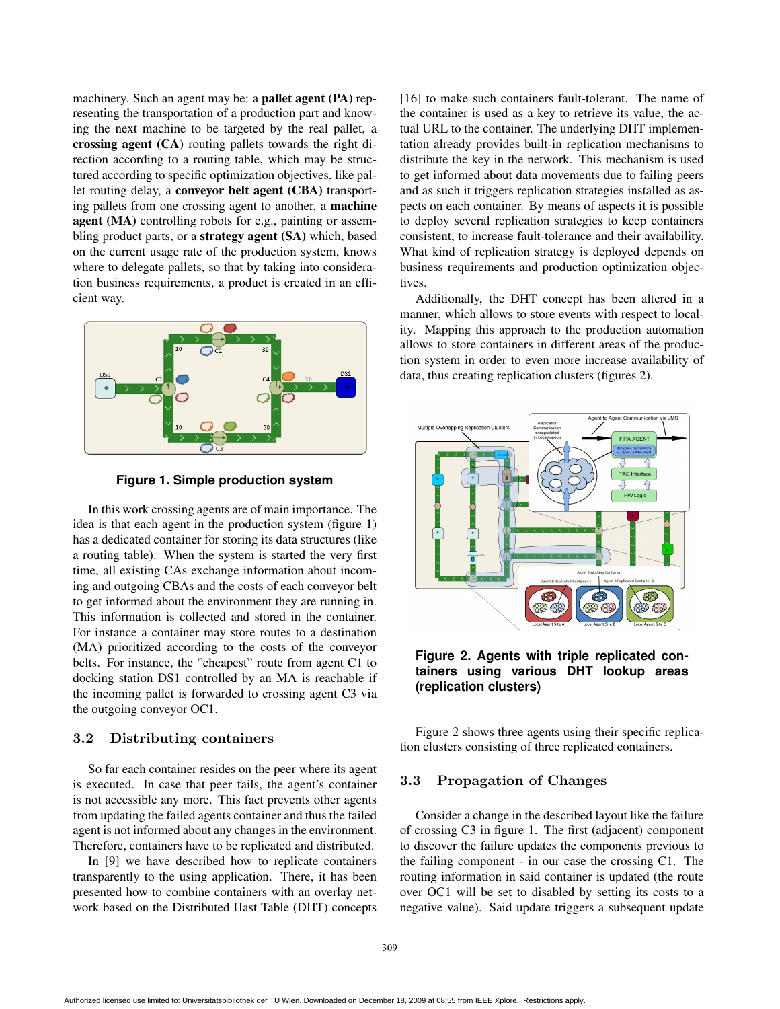machinery. Such an agent may be: a **pallet agent (PA)** representing the transportation of a production part and knowing the next machine to be targeted by the real pallet, a crossing agent (CA) routing pallets towards the right direction according to a routing table, which may be structured according to specific optimization objectives, like pallet routing delay, a conveyor belt agent (CBA) transporting pallets from one crossing agent to another, a machine agent (MA) controlling robots for e.g., painting or assembling product parts, or a strategy agent (SA) which, based on the current usage rate of the production system, knows where to delegate pallets, so that by taking into consideration business requirements, a product is created in an efficient way.



**Figure 1. Simple production system**

In this work crossing agents are of main importance. The idea is that each agent in the production system (figure 1) has a dedicated container for storing its data structures (like a routing table). When the system is started the very first time, all existing CAs exchange information about incoming and outgoing CBAs and the costs of each conveyor belt to get informed about the environment they are running in. This information is collected and stored in the container. For instance a container may store routes to a destination (MA) prioritized according to the costs of the conveyor belts. For instance, the "cheapest" route from agent C1 to docking station DS1 controlled by an MA is reachable if the incoming pallet is forwarded to crossing agent C3 via the outgoing conveyor OC1.

#### 3.2 Distributing containers

So far each container resides on the peer where its agent is executed. In case that peer fails, the agent's container is not accessible any more. This fact prevents other agents from updating the failed agents container and thus the failed agent is not informed about any changes in the environment. Therefore, containers have to be replicated and distributed.

In [9] we have described how to replicate containers transparently to the using application. There, it has been presented how to combine containers with an overlay network based on the Distributed Hast Table (DHT) concepts [16] to make such containers fault-tolerant. The name of the container is used as a key to retrieve its value, the actual URL to the container. The underlying DHT implementation already provides built-in replication mechanisms to distribute the key in the network. This mechanism is used to get informed about data movements due to failing peers and as such it triggers replication strategies installed as aspects on each container. By means of aspects it is possible to deploy several replication strategies to keep containers consistent, to increase fault-tolerance and their availability. What kind of replication strategy is deployed depends on business requirements and production optimization objectives.

Additionally, the DHT concept has been altered in a manner, which allows to store events with respect to locality. Mapping this approach to the production automation allows to store containers in different areas of the production system in order to even more increase availability of data, thus creating replication clusters (figures 2).



**Figure 2. Agents with triple replicated containers using various DHT lookup areas (replication clusters)**

Figure 2 shows three agents using their specific replication clusters consisting of three replicated containers.

#### 3.3 Propagation of Changes

Consider a change in the described layout like the failure of crossing C3 in figure 1. The first (adjacent) component to discover the failure updates the components previous to the failing component - in our case the crossing C1. The routing information in said container is updated (the route over OC1 will be set to disabled by setting its costs to a negative value). Said update triggers a subsequent update